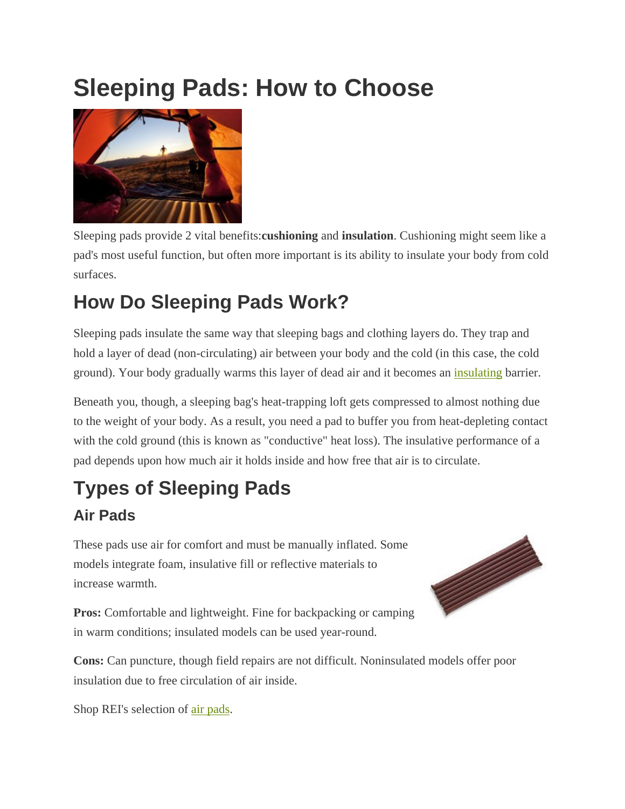# **Sleeping Pads: How to Choose**



Sleeping pads provide 2 vital benefits:**cushioning** and **insulation**. Cushioning might seem like a pad's most useful function, but often more important is its ability to insulate your body from cold surfaces.

## **How Do Sleeping Pads Work?**

Sleeping pads insulate the same way that sleeping bags and clothing layers do. They trap and hold a layer of dead (non-circulating) air between your body and the cold (in this case, the cold ground). Your body gradually warms this layer of dead air and it becomes an *insulating* barrier.

Beneath you, though, a sleeping bag's heat-trapping loft gets compressed to almost nothing due to the weight of your body. As a result, you need a pad to buffer you from heat-depleting contact with the cold ground (this is known as "conductive" heat loss). The insulative performance of a pad depends upon how much air it holds inside and how free that air is to circulate.

### **Types of Sleeping Pads Air Pads**

These pads use air for comfort and must be manually inflated. Some models integrate foam, insulative fill or reflective materials to increase warmth.



**Pros:** Comfortable and lightweight. Fine for backpacking or camping in warm conditions; insulated models can be used year-round.

**Cons:** Can puncture, though field repairs are not difficult. Noninsulated models offer poor insulation due to free circulation of air inside.

Shop REI's selection of air pads.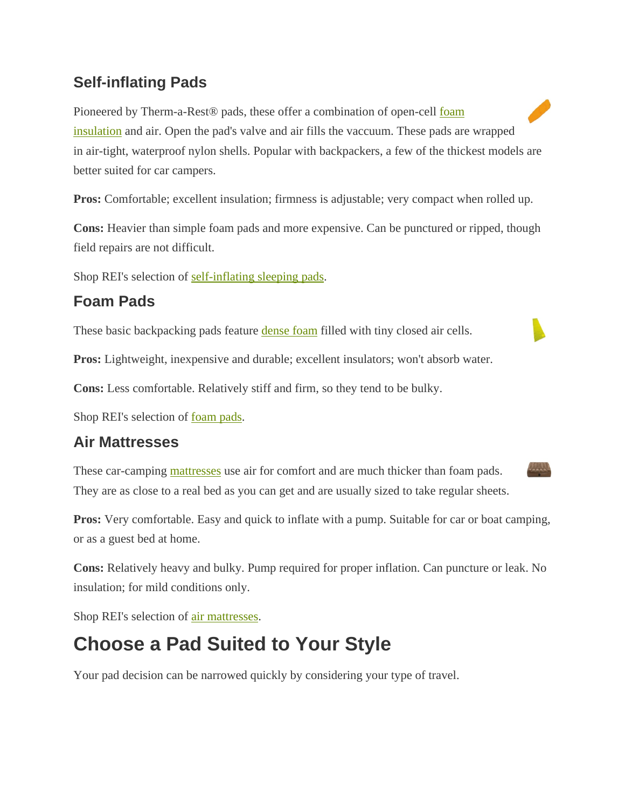#### **Self-inflating Pads**

Pioneered by Therm-a-Rest<sup>®</sup> pads, these offer a combination of open-cell foam insulation and air. Open the pad's valve and air fills the vaccuum. These pads are wrapped in air-tight, waterproof nylon shells. Popular with backpackers, a few of the thickest models are better suited for car campers.

**Pros:** Comfortable; excellent insulation; firmness is adjustable; very compact when rolled up.

**Cons:** Heavier than simple foam pads and more expensive. Can be punctured or ripped, though field repairs are not difficult.

Shop REI's selection of self-inflating sleeping pads.

#### **Foam Pads**

These basic backpacking pads feature dense foam filled with tiny closed air cells.

**Pros:** Lightweight, inexpensive and durable; excellent insulators; won't absorb water.

**Cons:** Less comfortable. Relatively stiff and firm, so they tend to be bulky.

Shop REI's selection of foam pads.

#### **Air Mattresses**

These car-camping mattresses use air for comfort and are much thicker than foam pads. They are as close to a real bed as you can get and are usually sized to take regular sheets.

**Pros:** Very comfortable. Easy and quick to inflate with a pump. Suitable for car or boat camping, or as a guest bed at home.

**Cons:** Relatively heavy and bulky. Pump required for proper inflation. Can puncture or leak. No insulation; for mild conditions only.

Shop REI's selection of air mattresses.

### **Choose a Pad Suited to Your Style**

Your pad decision can be narrowed quickly by considering your type of travel.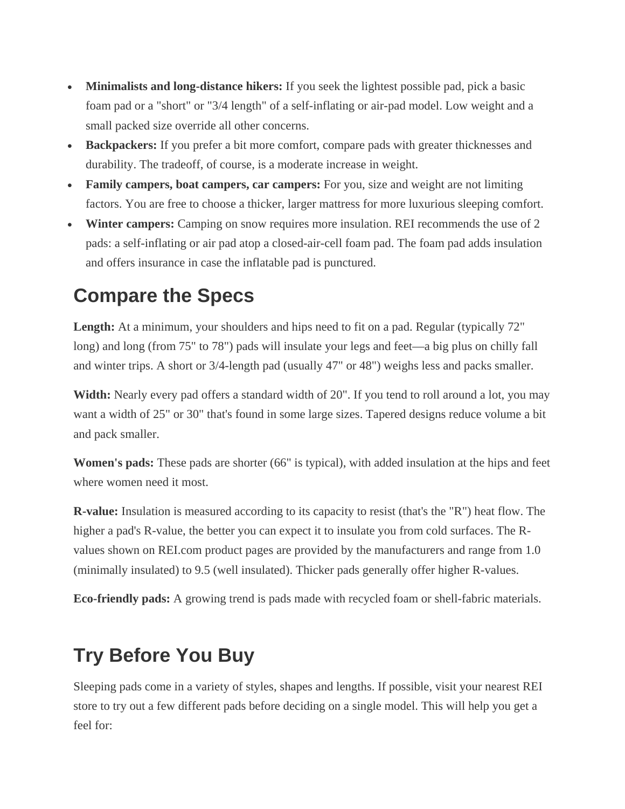- **Minimalists and long-distance hikers:** If you seek the lightest possible pad, pick a basic foam pad or a "short" or "3/4 length" of a self-inflating or air-pad model. Low weight and a small packed size override all other concerns.
- **Backpackers:** If you prefer a bit more comfort, compare pads with greater thicknesses and durability. The tradeoff, of course, is a moderate increase in weight.
- **Family campers, boat campers, car campers:** For you, size and weight are not limiting factors. You are free to choose a thicker, larger mattress for more luxurious sleeping comfort.
- **Winter campers:** Camping on snow requires more insulation. REI recommends the use of 2 pads: a self-inflating or air pad atop a closed-air-cell foam pad. The foam pad adds insulation and offers insurance in case the inflatable pad is punctured.

### **Compare the Specs**

Length: At a minimum, your shoulders and hips need to fit on a pad. Regular (typically 72" long) and long (from 75" to 78") pads will insulate your legs and feet—a big plus on chilly fall and winter trips. A short or 3/4-length pad (usually 47" or 48") weighs less and packs smaller.

**Width:** Nearly every pad offers a standard width of 20". If you tend to roll around a lot, you may want a width of 25" or 30" that's found in some large sizes. Tapered designs reduce volume a bit and pack smaller.

**Women's pads:** These pads are shorter (66" is typical), with added insulation at the hips and feet where women need it most.

**R-value:** Insulation is measured according to its capacity to resist (that's the "R") heat flow. The higher a pad's R-value, the better you can expect it to insulate you from cold surfaces. The Rvalues shown on REI.com product pages are provided by the manufacturers and range from 1.0 (minimally insulated) to 9.5 (well insulated). Thicker pads generally offer higher R-values.

**Eco-friendly pads:** A growing trend is pads made with recycled foam or shell-fabric materials.

### **Try Before You Buy**

Sleeping pads come in a variety of styles, shapes and lengths. If possible, visit your nearest REI store to try out a few different pads before deciding on a single model. This will help you get a feel for: